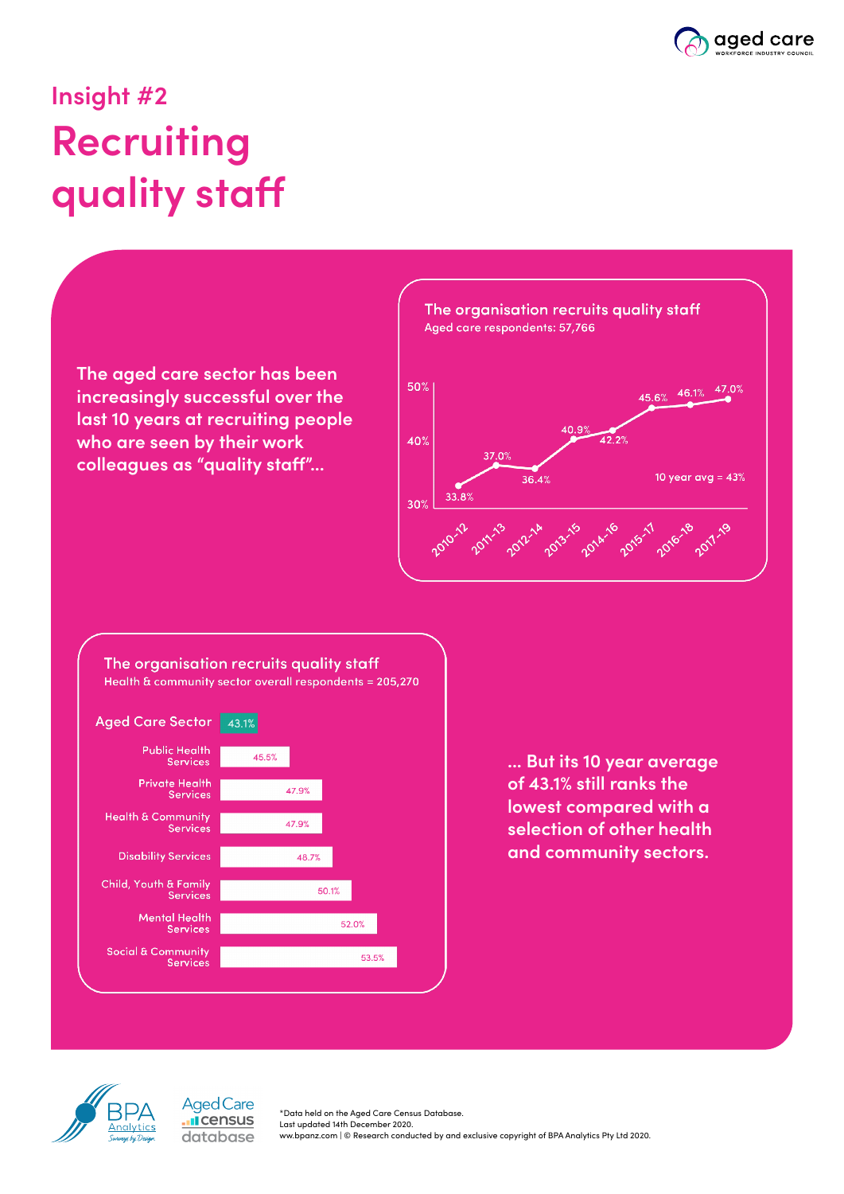

## **Insight #2 Recruiting quality staff**







**... But its 10 year average of 43.1% still ranks the lowest compared with a selection of other health and community sectors.**



**Aged Care I**census database

\*Data held on the Aged Care Census Database. Last updated 14th December 2020. ww.bpanz.com | © Research conducted by and exclusive copyright of BPA Analytics Pty Ltd 2020.